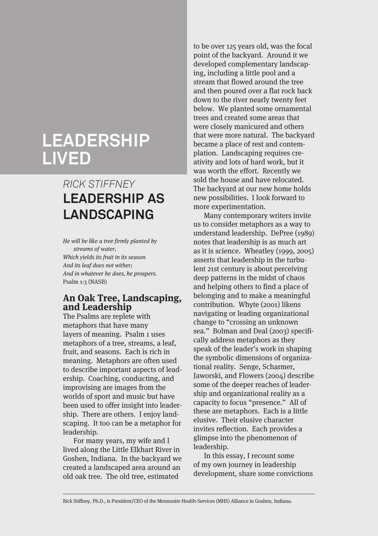# **LEADERSHIP LIVED**

# *RICK STIFFNEY* **LEADERSHIP AS LANDSCAPING**

He will be like a tree firmly planted by streams of water, Which yields its fruit in its season And its leaf does not wither; And in whatever he does, he prospers. Psalm 1:3 (NASB)

## **An Oak Tree, Landscaping, and Leadership**

The Psalms are replete with metaphors that have many layers of meaning. Psalm 1 uses metaphors of a tree, streams, a leaf, fruit, and seasons. Each is rich in meaning. Metaphors are often used to describe important aspects of leadership. Coaching, conducting, and improvising are images from the worlds of sport and music but have been used to offer insight into leadership. There are others. I enjoy landscaping. It too can be a metaphor for leadership.

For many years, my wife and I lived along the Little Elkhart River in Goshen, Indiana. In the backyard we created a landscaped area around an old oak tree. The old tree, estimated

to be over 125 years old, was the focal point of the backyard. Around it we developed complementary landscaping, including a little pool and a stream that flowed around the tree and then poured over a flat rock back down to the river nearly twenty feet below. We planted some ornamental trees and created some areas that were closely manicured and others that were more natural. The backyard became a place of rest and contemplation. Landscaping requires creativity and lots of hard work, but it was worth the effort. Recently we sold the house and have relocated. The backyard at our new home holds new possibilities. I look forward to more experimentation.

Many contemporary writers invite us to consider metaphors as a way to understand leadership. DePree (1989) notes that leadership is as much art as it is science. Wheatley (1999, 2005) asserts that leadership in the turbulent 21st century is about perceiving deep patterns in the midst of chaos and helping others to find a place of belonging and to make a meaningful contribution. Whyte (2001) likens navigating or leading organizational change to "crossing an unknown sea." Bolman and Deal (2003) specifically address metaphors as they speak of the leader's work in shaping the symbolic dimensions of organizational reality. Senge, Scharmer, Jaworski, and Flowers (2004) describe some of the deeper reaches of leadership and organizational reality as a capacity to focus "presence." All of these are metaphors. Each is a little elusive. Their elusive character invites reflection. Each provides a glimpse into the phenomenon of leadership.

In this essay, I recount some of my own journey in leadership development, share some convictions

Rick Stiffney, Ph.D., is President/CEO of the Mennonite Health-Services (MHS) Alliance in Goshen, Indiana.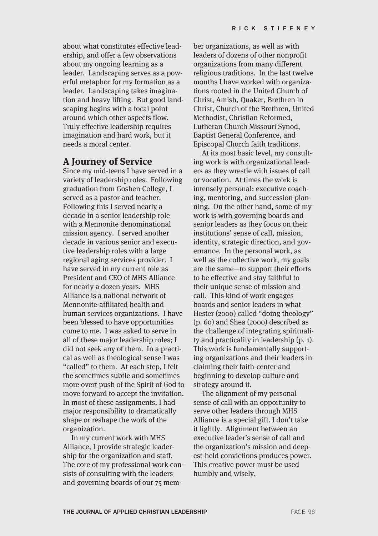about what constitutes effective leadership, and offer a few observations about my ongoing learning as a leader. Landscaping serves as a powerful metaphor for my formation as a leader. Landscaping takes imagination and heavy lifting. But good landscaping begins with a focal point around which other aspects flow. Truly effective leadership requires imagination and hard work, but it needs a moral center.

#### **A Journey of Service**

Since my mid-teens I have served in a variety of leadership roles. Following graduation from Goshen College, I served as a pastor and teacher. Following this I served nearly a decade in a senior leadership role with a Mennonite denominational mission agency. I served another decade in various senior and executive leadership roles with a large regional aging services provider. I have served in my current role as President and CEO of MHS Alliance for nearly a dozen years. MHS Alliance is a national network of Mennonite-affiliated health and human services organizations. I have been blessed to have opportunities come to me. I was asked to serve in all of these major leadership roles; I did not seek any of them. In a practical as well as theological sense I was "called" to them. At each step, I felt the sometimes subtle and sometimes more overt push of the Spirit of God to move forward to accept the invitation. In most of these assignments, I had major responsibility to dramatically shape or reshape the work of the organization.

In my current work with MHS Alliance, I provide strategic leadership for the organization and staff. The core of my professional work consists of consulting with the leaders and governing boards of our 75 mem-

ber organizations, as well as with leaders of dozens of other nonprofit organizations from many different religious traditions. In the last twelve months I have worked with organizations rooted in the United Church of Christ, Amish, Quaker, Brethren in Christ, Church of the Brethren, United Methodist, Christian Reformed, Lutheran Church Missouri Synod, Baptist General Conference, and Episcopal Church faith traditions.

At its most basic level, my consulting work is with organizational leaders as they wrestle with issues of call or vocation. At times the work is intensely personal: executive coaching, mentoring, and succession planning. On the other hand, some of my work is with governing boards and senior leaders as they focus on their institutions' sense of call, mission, identity, strategic direction, and governance. In the personal work, as well as the collective work, my goals are the same—to support their efforts to be effective and stay faithful to their unique sense of mission and call. This kind of work engages boards and senior leaders in what Hester (2000) called "doing theology" (p. 60) and Shea (2000) described as the challenge of integrating spirituality and practicality in leadership (p. 1). This work is fundamentally supporting organizations and their leaders in claiming their faith-center and beginning to develop culture and strategy around it.

The alignment of my personal sense of call with an opportunity to serve other leaders through MHS Alliance is a special gift. I don't take it lightly. Alignment between an executive leader's sense of call and the organization's mission and deepest-held convictions produces power. This creative power must be used humbly and wisely.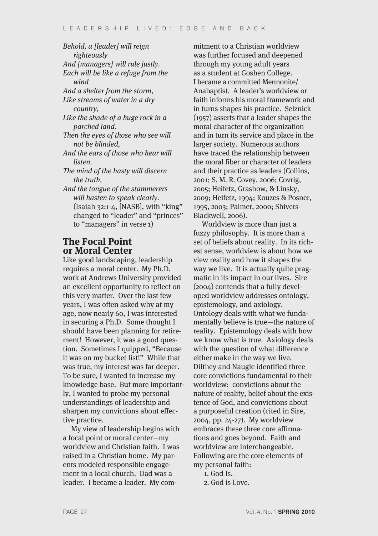Behold, a [leader] will reign righteously And [managers] will rule justly. Each will be like a refuge from the wind And a shelter from the storm, Like streams of water in a dry country, Like the shade of a huge rock in a parched land. Then the eyes of those who see will not be blinded, And the ears of those who hear will listen. The mind of the hasty will discern the truth, And the tongue of the stammerers will hasten to speak clearly. (Isaiah 32:1-4, [NASB], with "king" changed to "leader" and "princes" to "managers" in verse 1)

#### **The Focal Point or Moral Center**

Like good landscaping, leadership requires a moral center. My Ph.D. work at Andrews University provided an excellent opportunity to reflect on this very matter. Over the last few years, I was often asked why at my age, now nearly 60, I was interested in securing a Ph.D. Some thought I should have been planning for retirement! However, it was a good question. Sometimes I quipped, "Because it was on my bucket list!" While that was true, my interest was far deeper. To be sure, I wanted to increase my knowledge base. But more importantly, I wanted to probe my personal understandings of leadership and sharpen my convictions about effective practice.

My view of leadership begins with a focal point or moral center—my worldview and Christian faith. I was raised in a Christian home. My parents modeled responsible engagement in a local church. Dad was a leader. I became a leader. My com-

mitment to a Christian worldview was further focused and deepened through my young adult years as a student at Goshen College. I became a committed Mennonite/ Anabaptist. A leader's worldview or faith informs his moral framework and in turns shapes his practice. Selznick (1957) asserts that a leader shapes the moral character of the organization and in turn its service and place in the larger society. Numerous authors have traced the relationship between the moral fiber or character of leaders and their practice as leaders (Collins, 2001; S. M. R. Covey, 2006; Covrig, 2005; Heifetz, Grashow, & Linsky, 2009; Heifetz, 1994; Kouzes & Posner, 1995, 2003; Palmer, 2000; Shivers-Blackwell, 2006).

Worldview is more than just a fuzzy philosophy. It is more than a set of beliefs about reality. In its richest sense, worldview is about how we view reality and how it shapes the way we live. It is actually quite pragmatic in its impact in our lives. Sire (2004) contends that a fully developed worldview addresses ontology, epistemology, and axiology. Ontology deals with what we fundamentally believe is true—the nature of reality. Epistemology deals with how we know what is true. Axiology deals with the question of what difference either make in the way we live. Dilthey and Naugle identified three core convictions fundamental to their worldview: convictions about the nature of reality, belief about the existence of God, and convictions about a purposeful creation (cited in Sire, 2004, pp. 24-27). My worldview embraces these three core affirmations and goes beyond. Faith and worldview are interchangeable. Following are the core elements of my personal faith:

- 1. God Is.
- 2. God is Love.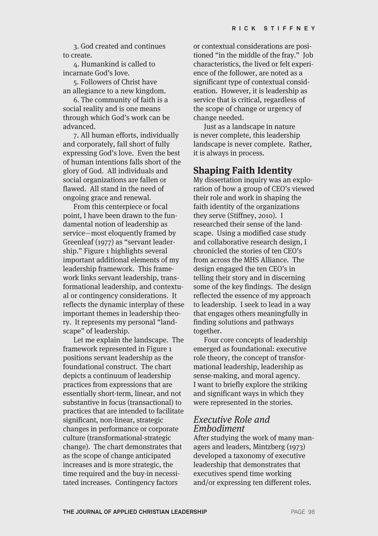3. God created and continues to create.

4. Humankind is called to incarnate God's love.

5. Followers of Christ have an allegiance to a new kingdom.

6. The community of faith is a social reality and is one means through which God's work can be advanced.

7. All human efforts, individually and corporately, fall short of fully expressing God's love. Even the best of human intentions falls short of the glory of God. All individuals and social organizations are fallen or flawed. All stand in the need of ongoing grace and renewal.

From this centerpiece or focal point, I have been drawn to the fundamental notion of leadership as service—most eloquently framed by Greenleaf (1977) as "servant leadership." Figure 1 highlights several important additional elements of my leadership framework. This framework links servant leadership, transformational leadership, and contextual or contingency considerations. It reflects the dynamic interplay of these important themes in leadership theory. It represents my personal "landscape" of leadership.

Let me explain the landscape. The framework represented in Figure 1 positions servant leadership as the foundational construct. The chart depicts a continuum of leadership practices from expressions that are essentially short-term, linear, and not substantive in focus (transactional) to practices that are intended to facilitate significant, non-linear, strategic changes in performance or corporate culture (transformational-strategic change). The chart demonstrates that as the scope of change anticipated increases and is more strategic, the time required and the buy-in necessitated increases. Contingency factors

or contextual considerations are positioned "in the middle of the fray." Job characteristics, the lived or felt experience of the follower, are noted as a significant type of contextual consideration. However, it is leadership as service that is critical, regardless of the scope of change or urgency of change needed.

Just as a landscape in nature is never complete, this leadership landscape is never complete. Rather, it is always in process.

#### **Shaping Faith Identity**

My dissertation inquiry was an exploration of how a group of CEO's viewed their role and work in shaping the faith identity of the organizations they serve (Stiffney, 2010). I researched their sense of the landscape. Using a modified case study and collaborative research design, I chronicled the stories of ten CEO's from across the MHS Alliance. The design engaged the ten CEO's in telling their story and in discerning some of the key findings. The design reflected the essence of my approach to leadership. I seek to lead in a way that engages others meaningfully in finding solutions and pathways together.

Four core concepts of leadership emerged as foundational: executive role theory, the concept of transformational leadership, leadership as sense-making, and moral agency. I want to briefly explore the striking and significant ways in which they were represented in the stories.

#### Executive Role and Embodiment

After studying the work of many managers and leaders, Mintzberg (1973) developed a taxonomy of executive leadership that demonstrates that executives spend time working and/or expressing ten different roles.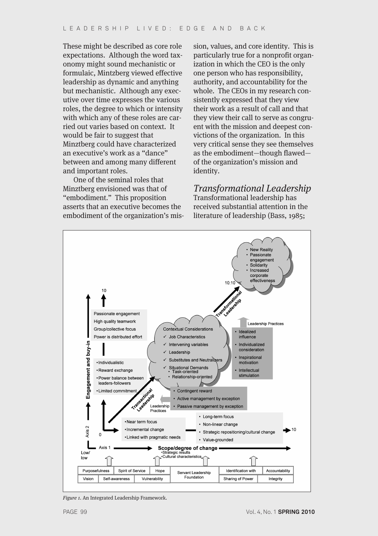These might be described as core role expectations. Although the word taxonomy might sound mechanistic or formulaic, Mintzberg viewed effective leadership as dynamic and anything but mechanistic. Although any executive over time expresses the various roles, the degree to which or intensity with which any of these roles are carried out varies based on context. It would be fair to suggest that Minztberg could have characterized an executive's work as a "dance" between and among many different and important roles.

One of the seminal roles that Minztberg envisioned was that of "embodiment." This proposition asserts that an executive becomes the embodiment of the organization's mission, values, and core identity. This is particularly true for a nonprofit organization in which the CEO is the only one person who has responsibility, authority, and accountability for the whole. The CEOs in my research consistently expressed that they view their work as a result of call and that they view their call to serve as congruent with the mission and deepest convictions of the organization. In this very critical sense they see themselves as the embodiment—though flawed of the organization's mission and identity.

Transformational Leadership

Transformational leadership has received substantial attention in the literature of leadership (Bass, 1985;



Figure 1. An Integrated Leadership Framework.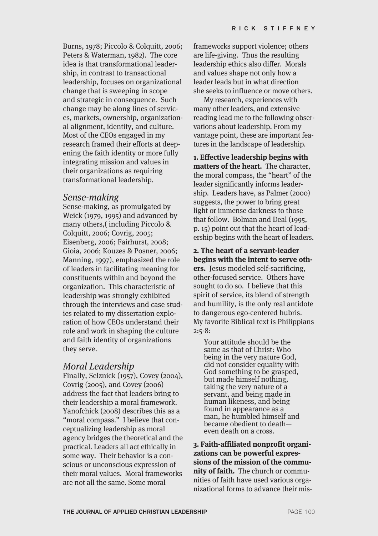Burns, 1978; Piccolo & Colquitt, 2006; Peters & Waterman, 1982). The core idea is that transformational leadership, in contrast to transactional leadership, focuses on organizational change that is sweeping in scope and strategic in consequence. Such change may be along lines of services, markets, ownership, organizational alignment, identity, and culture. Most of the CEOs engaged in my research framed their efforts at deepening the faith identity or more fully integrating mission and values in their organizations as requiring transformational leadership.

#### Sense-making

Sense-making, as promulgated by Weick (1979, 1995) and advanced by many others,( including Piccolo & Colquitt, 2006; Covrig, 2005; Eisenberg, 2006; Fairhurst, 2008; Gioia, 2006; Kouzes & Posner, 2006; Manning, 1997), emphasized the role of leaders in facilitating meaning for constituents within and beyond the organization. This characteristic of leadership was strongly exhibited through the interviews and case studies related to my dissertation exploration of how CEOs understand their role and work in shaping the culture and faith identity of organizations they serve.

#### Moral Leadership

Finally, Selznick (1957), Covey (2004), Covrig (2005), and Covey (2006) address the fact that leaders bring to their leadership a moral framework. Yanofchick (2008) describes this as a "moral compass." I believe that conceptualizing leadership as moral agency bridges the theoretical and the practical. Leaders all act ethically in some way. Their behavior is a conscious or unconscious expression of their moral values. Moral frameworks are not all the same. Some moral

frameworks support violence; others are life-giving. Thus the resulting leadership ethics also differ. Morals and values shape not only how a leader leads but in what direction she seeks to influence or move others.

My research, experiences with many other leaders, and extensive reading lead me to the following observations about leadership. From my vantage point, these are important features in the landscape of leadership.

**1. Effective leadership begins with matters of the heart.** The character, the moral compass, the "heart" of the leader significantly informs leadership. Leaders have, as Palmer (2000) suggests, the power to bring great light or immense darkness to those that follow. Bolman and Deal (1995, p. 15) point out that the heart of leadership begins with the heart of leaders.

**2. The heart of a servant-leader begins with the intent to serve others.** Jesus modeled self-sacrificing, other-focused service. Others have sought to do so. I believe that this spirit of service, its blend of strength and humility, is the only real antidote to dangerous ego-centered hubris. My favorite Biblical text is Philippians 2:5-8:

Your attitude should be the same as that of Christ: Who being in the very nature God, did not consider equality with God something to be grasped, but made himself nothing, taking the very nature of a servant, and being made in human likeness, and being found in appearance as a man, he humbled himself and became obedient to death even death on a cross.

**3. Faith-affiliated nonprofit organizations can be powerful expressions of the mission of the community of faith.** The church or communities of faith have used various organizational forms to advance their mis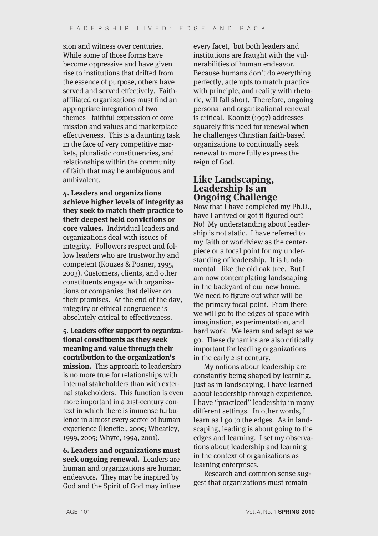sion and witness over centuries. While some of those forms have become oppressive and have given rise to institutions that drifted from the essence of purpose, others have served and served effectively. Faithaffiliated organizations must find an appropriate integration of two themes—faithful expression of core mission and values and marketplace effectiveness. This is a daunting task in the face of very competitive markets, pluralistic constituencies, and relationships within the community of faith that may be ambiguous and ambivalent.

**4. Leaders and organizations achieve higher levels of integrity as they seek to match their practice to their deepest held convictions or core values.** Individual leaders and organizations deal with issues of integrity. Followers respect and follow leaders who are trustworthy and competent (Kouzes & Posner, 1995, 2003). Customers, clients, and other constituents engage with organizations or companies that deliver on their promises. At the end of the day, integrity or ethical congruence is absolutely critical to effectiveness.

**5. Leaders offer support to organizational constituents as they seek meaning and value through their contribution to the organization's mission.** This approach to leadership is no more true for relationships with internal stakeholders than with external stakeholders. This function is even more important in a 21st-century context in which there is immense turbulence in almost every sector of human experience (Benefiel, 2005; Wheatley, 1999, 2005; Whyte, 1994, 2001).

**6. Leaders and organizations must seek ongoing renewal.** Leaders are human and organizations are human endeavors. They may be inspired by God and the Spirit of God may infuse

every facet, but both leaders and institutions are fraught with the vulnerabilities of human endeavor. Because humans don't do everything perfectly, attempts to match practice with principle, and reality with rhetoric, will fall short. Therefore, ongoing personal and organizational renewal is critical. Koontz (1997) addresses squarely this need for renewal when he challenges Christian faith-based organizations to continually seek renewal to more fully express the reign of God.

#### **Like Landscaping, Leadership Is an Ongoing Challenge**

Now that I have completed my Ph.D., have I arrived or got it figured out? No! My understanding about leadership is not static. I have referred to my faith or worldview as the centerpiece or a focal point for my understanding of leadership. It is fundamental—like the old oak tree. But I am now contemplating landscaping in the backyard of our new home. We need to figure out what will be the primary focal point. From there we will go to the edges of space with imagination, experimentation, and hard work. We learn and adapt as we go. These dynamics are also critically important for leading organizations in the early 21st century.

My notions about leadership are constantly being shaped by learning. Just as in landscaping, I have learned about leadership through experience. I have "practiced" leadership in many different settings. In other words, I learn as I go to the edges. As in landscaping, leading is about going to the edges and learning. I set my observations about leadership and learning in the context of organizations as learning enterprises.

Research and common sense suggest that organizations must remain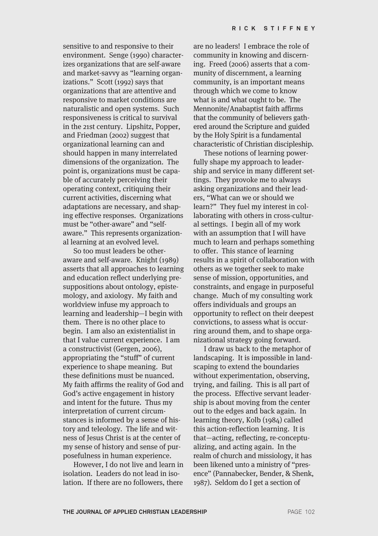sensitive to and responsive to their environment. Senge (1990) characterizes organizations that are self-aware and market-savvy as "learning organizations." Scott (1992) says that organizations that are attentive and responsive to market conditions are naturalistic and open systems. Such responsiveness is critical to survival in the 21st century. Lipshitz, Popper, and Friedman (2002) suggest that organizational learning can and should happen in many interrelated dimensions of the organization. The point is, organizations must be capable of accurately perceiving their operating context, critiquing their current activities, discerning what adaptations are necessary, and shaping effective responses. Organizations must be "other-aware" and "selfaware." This represents organizational learning at an evolved level.

So too must leaders be otheraware and self-aware. Knight (1989) asserts that all approaches to learning and education reflect underlying presuppositions about ontology, epistemology, and axiology. My faith and worldview infuse my approach to learning and leadership—I begin with them. There is no other place to begin. I am also an existentialist in that I value current experience. I am a constructivist (Gergen, 2006), appropriating the "stuff" of current experience to shape meaning. But these definitions must be nuanced. My faith affirms the reality of God and God's active engagement in history and intent for the future. Thus my interpretation of current circumstances is informed by a sense of history and teleology. The life and witness of Jesus Christ is at the center of my sense of history and sense of purposefulness in human experience.

However, I do not live and learn in isolation. Leaders do not lead in isolation. If there are no followers, there

are no leaders! I embrace the role of community in knowing and discerning. Freed (2006) asserts that a community of discernment, a learning community, is an important means through which we come to know what is and what ought to be. The Mennonite/Anabaptist faith affirms that the community of believers gathered around the Scripture and guided by the Holy Spirit is a fundamental characteristic of Christian discipleship.

These notions of learning powerfully shape my approach to leadership and service in many different settings. They provoke me to always asking organizations and their leaders, "What can we or should we learn?" They fuel my interest in collaborating with others in cross-cultural settings. I begin all of my work with an assumption that I will have much to learn and perhaps something to offer. This stance of learning results in a spirit of collaboration with others as we together seek to make sense of mission, opportunities, and constraints, and engage in purposeful change. Much of my consulting work offers individuals and groups an opportunity to reflect on their deepest convictions, to assess what is occurring around them, and to shape organizational strategy going forward.

I draw us back to the metaphor of landscaping. It is impossible in landscaping to extend the boundaries without experimentation, observing, trying, and failing. This is all part of the process. Effective servant leadership is about moving from the center out to the edges and back again. In learning theory, Kolb (1984) called this action-reflection learning. It is that—acting, reflecting, re-conceptualizing, and acting again. In the realm of church and missiology, it has been likened unto a ministry of "presence" (Pannabecker, Bender, & Shenk, 1987). Seldom do I get a section of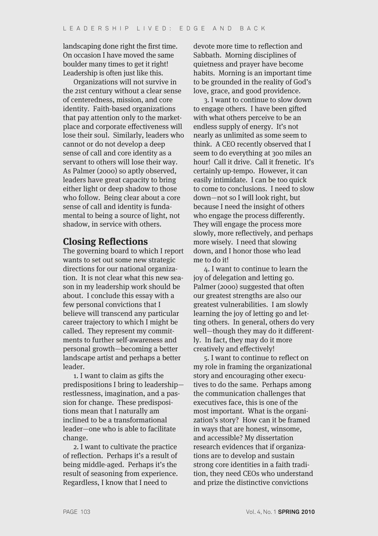landscaping done right the first time. On occasion I have moved the same boulder many times to get it right! Leadership is often just like this.

Organizations will not survive in the 21st century without a clear sense of centeredness, mission, and core identity. Faith-based organizations that pay attention only to the marketplace and corporate effectiveness will lose their soul. Similarly, leaders who cannot or do not develop a deep sense of call and core identity as a servant to others will lose their way. As Palmer (2000) so aptly observed, leaders have great capacity to bring either light or deep shadow to those who follow. Being clear about a core sense of call and identity is fundamental to being a source of light, not shadow, in service with others.

## **Closing Reflections**

The governing board to which I report wants to set out some new strategic directions for our national organization. It is not clear what this new season in my leadership work should be about. I conclude this essay with a few personal convictions that I believe will transcend any particular career trajectory to which I might be called. They represent my commitments to further self-awareness and personal growth—becoming a better landscape artist and perhaps a better leader.

1. I want to claim as gifts the predispositions I bring to leadership restlessness, imagination, and a passion for change. These predispositions mean that I naturally am inclined to be a transformational leader—one who is able to facilitate change.

2. I want to cultivate the practice of reflection. Perhaps it's a result of being middle-aged. Perhaps it's the result of seasoning from experience. Regardless, I know that I need to

devote more time to reflection and Sabbath. Morning disciplines of quietness and prayer have become habits. Morning is an important time to be grounded in the reality of God's love, grace, and good providence.

3. I want to continue to slow down to engage others. I have been gifted with what others perceive to be an endless supply of energy. It's not nearly as unlimited as some seem to think. A CEO recently observed that I seem to do everything at 300 miles an hour! Call it drive. Call it frenetic. It's certainly up-tempo. However, it can easily intimidate. I can be too quick to come to conclusions. I need to slow down—not so I will look right, but because I need the insight of others who engage the process differently. They will engage the process more slowly, more reflectively, and perhaps more wisely. I need that slowing down, and I honor those who lead me to do it!

4. I want to continue to learn the joy of delegation and letting go. Palmer (2000) suggested that often our greatest strengths are also our greatest vulnerabilities. I am slowly learning the joy of letting go and letting others. In general, others do very well—though they may do it differently. In fact, they may do it more creatively and effectively!

5. I want to continue to reflect on my role in framing the organizational story and encouraging other executives to do the same. Perhaps among the communication challenges that executives face, this is one of the most important. What is the organization's story? How can it be framed in ways that are honest, winsome, and accessible? My dissertation research evidences that if organizations are to develop and sustain strong core identities in a faith tradition, they need CEOs who understand and prize the distinctive convictions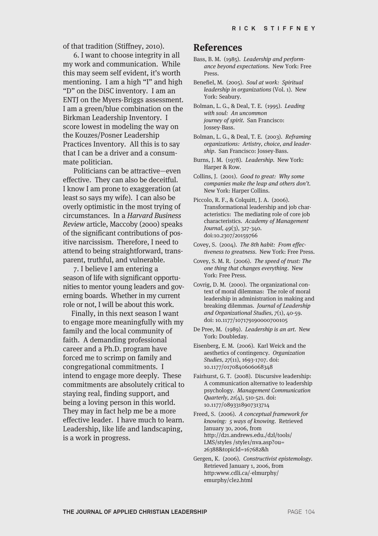of that tradition (Stiffney, 2010).

6. I want to choose integrity in all my work and communication. While this may seem self evident, it's worth mentioning. I am a high "I" and high "D" on the DiSC inventory. I am an ENTJ on the Myers-Briggs assessment. I am a green/blue combination on the Birkman Leadership Inventory. I score lowest in modeling the way on the Kouzes/Posner Leadership Practices Inventory. All this is to say that I can be a driver and a consummate politician.

Politicians can be attractive—even effective. They can also be deceitful. I know I am prone to exaggeration (at least so says my wife). I can also be overly optimistic in the most trying of circumstances. In a Harvard Business Review article, Maccoby (2000) speaks of the significant contributions of positive narcissism. Therefore, I need to attend to being straightforward, transparent, truthful, and vulnerable.

7. I believe I am entering a season of life with significant opportunities to mentor young leaders and governing boards. Whether in my current role or not, I will be about this work.

Finally, in this next season I want to engage more meaningfully with my family and the local community of faith. A demanding professional career and a Ph.D. program have forced me to scrimp on family and congregational commitments. I intend to engage more deeply. These commitments are absolutely critical to staying real, finding support, and being a loving person in this world. They may in fact help me be a more effective leader. I have much to learn. Leadership, like life and landscaping, is a work in progress.

#### **References**

- Bass, B. M. (1985). Leadership and performance beyond expectations. New York: Free Press.
- Benefiel, M. (2005). Soul at work: Spiritual leadership in organizations (Vol. 1). New York: Seabury.
- Bolman, L. G., & Deal, T. E. (1995). Leading with soul: An uncommon journey of spirit. San Francisco: Jossey-Bass.
- Bolman, L. G., & Deal, T. E. (2003). Reframing organizations: Artistry, choice, and leadership. San Francisco: Jossey-Bass.
- Burns, J. M. (1978). Leadership. New York: Harper & Row.
- Collins, J. (2001). Good to great: Why some companies make the leap and others don't. New York: Harper Collins.
- Piccolo, R. F., & Colquitt, J. A. (2006). Transformational leadership and job characteristics: The mediating role of core job characteristics. Academy of Management Journal, 49(3), 327-340. doi:10.2307/20159766
- Covey, S. (2004). The 8th habit: From effectiveness to greatness. New York: Free Press.
- Covey, S. M. R. (2006). The speed of trust: The one thing that changes everything. New York: Free Press.
- Covrig, D. M. (2000). The organizational context of moral dilemmas: The role of moral leadership in administration in making and breaking dilemmas. Journal of Leadership and Organizational Studies, 7(1), 40-59. doi: 10.1177/107179190000700105
- De Pree, M. (1989). Leadership is an art. New York: Doubleday.
- Eisenberg, E. M. (2006). Karl Weick and the aesthetics of contingency. Organization Studies, 27(11), 1693-1707. doi: 10.1177/0170840606068348
- Fairhurst, G. T. (2008). Discursive leadership: A communication alternative to leadership psychology. Management Communication Quarterly, 21(4), 510-521. doi: 10.1177/0893318907313714
- Freed, S. (2006). A conceptual framework for knowing: 5 ways of knowing. Retrieved January 30, 2006, from http://d21.andrews.edu./d2l/tools/ LMS/styles /style1/nva.asp?ou= 26388&topicId=167682&h
- Gergen, K. (2006). Constructivist epistemology. Retrieved January 1, 2006, from http:www.cdli.ca/-elmurphy/ emurphy/cle2.html